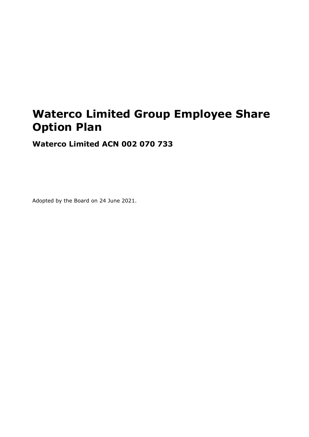# **Waterco Limited Group Employee Share Option Plan**

**Waterco Limited ACN 002 070 733**

Adopted by the Board on 24 June 2021.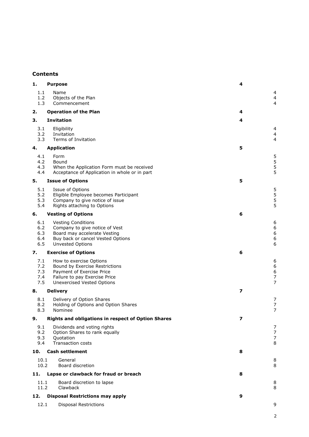# **Contents**

| 1.                              | <b>Purpose</b>                                                                                                                                        | 4                       |                                                                     |
|---------------------------------|-------------------------------------------------------------------------------------------------------------------------------------------------------|-------------------------|---------------------------------------------------------------------|
| 1.1<br>1.2<br>1.3               | Name<br>Objects of the Plan<br>Commencement                                                                                                           |                         | 4<br>4<br>4                                                         |
| 2.                              | <b>Operation of the Plan</b>                                                                                                                          | 4                       |                                                                     |
| 3.                              | <b>Invitation</b>                                                                                                                                     | 4                       |                                                                     |
| 3.1<br>3.2<br>3.3               | Eligibility<br>Invitation<br>Terms of Invitation                                                                                                      |                         | 4<br>4<br>$\overline{4}$                                            |
| 4.                              | <b>Application</b>                                                                                                                                    | 5                       |                                                                     |
| 4.1<br>4.2<br>4.3<br>4.4        | Form<br>Bound<br>When the Application Form must be received<br>Acceptance of Application in whole or in part                                          |                         | $\frac{5}{5}$<br>5<br>5                                             |
| 5.                              | <b>Issue of Options</b>                                                                                                                               | 5                       |                                                                     |
| 5.1<br>5.2<br>5.3<br>5.4        | Issue of Options<br>Eligible Employee becomes Participant<br>Company to give notice of issue<br>Rights attaching to Options                           |                         | $\frac{5}{5}$<br>5<br>5                                             |
| 6.                              | <b>Vesting of Options</b>                                                                                                                             | 6                       |                                                                     |
| 6.1<br>6.2<br>6.3<br>6.4<br>6.5 | <b>Vesting Conditions</b><br>Company to give notice of Vest<br>Board may accelerate Vesting<br>Buy back or cancel Vested Options<br>Unvested Options  |                         | 6<br>$\begin{array}{c} 6 \\ 6 \end{array}$<br>$\boldsymbol{6}$<br>6 |
| 7.                              | <b>Exercise of Options</b>                                                                                                                            | 6                       |                                                                     |
| 7.1<br>7.2<br>7.3<br>7.4<br>7.5 | How to exercise Options<br>Bound by Exercise Restrictions<br>Payment of Exercise Price<br>Failure to pay Exercise Price<br>Unexercised Vested Options |                         | 6<br>$\boldsymbol{6}$<br>6<br>$\overline{7}$<br>$\overline{7}$      |
| 8.                              |                                                                                                                                                       |                         |                                                                     |
|                                 | <b>Delivery</b>                                                                                                                                       | 7                       |                                                                     |
| 8.1<br>8.2<br>8.3               | Delivery of Option Shares<br>Holding of Options and Option Shares<br>Nominee                                                                          |                         | 7<br>$\boldsymbol{7}$<br>$\overline{7}$                             |
| 9.                              | <b>Rights and obligations in respect of Option Shares</b>                                                                                             | $\overline{\mathbf{z}}$ |                                                                     |
| 9.1<br>9.2<br>9.3<br>9.4        | Dividends and voting rights<br>Option Shares to rank equally<br>Quotation<br><b>Transaction costs</b>                                                 |                         | 7<br>$\overline{7}$<br>$\overline{7}$<br>8                          |
| 10.                             | <b>Cash settlement</b>                                                                                                                                | 8                       |                                                                     |
| 10.1<br>10.2                    | General<br>Board discretion                                                                                                                           |                         | 8<br>8                                                              |
| 11.                             | Lapse or clawback for fraud or breach                                                                                                                 | 8                       |                                                                     |
| 11.1<br>11.2                    | Board discretion to lapse<br>Clawback                                                                                                                 |                         | 8<br>8                                                              |
| 12.                             | <b>Disposal Restrictions may apply</b>                                                                                                                | 9                       |                                                                     |
| 12.1                            | <b>Disposal Restrictions</b>                                                                                                                          |                         | 9                                                                   |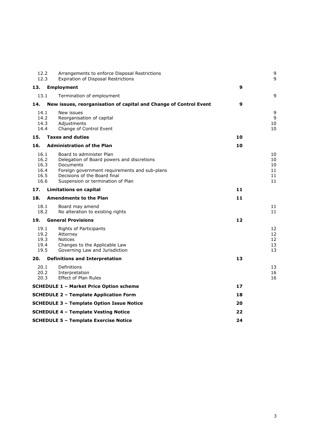| 12.2<br>12.3                                 | Arrangements to enforce Disposal Restrictions<br>Expiration of Disposal Restrictions                                                                                                                      |    | 9<br>g                           |
|----------------------------------------------|-----------------------------------------------------------------------------------------------------------------------------------------------------------------------------------------------------------|----|----------------------------------|
| 13.                                          | <b>Employment</b>                                                                                                                                                                                         | 9  |                                  |
| 13.1                                         | Termination of employment                                                                                                                                                                                 |    | g                                |
| 14.                                          | New issues, reorganisation of capital and Change of Control Event                                                                                                                                         | 9  |                                  |
| 14.1<br>14.2<br>14.3<br>14.4                 | New issues<br>Reorganisation of capital<br>Adjustments<br>Change of Control Event                                                                                                                         |    | 9<br>9<br>10<br>10               |
| 15.                                          | <b>Taxes and duties</b>                                                                                                                                                                                   | 10 |                                  |
| 16.                                          | <b>Administration of the Plan</b>                                                                                                                                                                         | 10 |                                  |
| 16.1<br>16.2<br>16.3<br>16.4<br>16.5<br>16.6 | Board to administer Plan<br>Delegation of Board powers and discretions<br>Documents<br>Foreign government requirements and sub-plans<br>Decisions of the Board final<br>Suspension or termination of Plan |    | 10<br>10<br>10<br>11<br>11<br>11 |
| 17.                                          | <b>Limitations on capital</b>                                                                                                                                                                             | 11 |                                  |
| 18.                                          | <b>Amendments to the Plan</b>                                                                                                                                                                             | 11 |                                  |
| 18.1<br>18.2                                 | Board may amend<br>No alteration to existing rights                                                                                                                                                       |    | 11<br>11                         |
| 19.                                          | <b>General Provisions</b>                                                                                                                                                                                 | 12 |                                  |
| 19.1<br>19.2<br>19.3<br>19.4<br>19.5         | Rights of Participants<br>Attorney<br><b>Notices</b><br>Changes to the Applicable Law<br>Governing Law and Jurisdiction                                                                                   |    | 12<br>12<br>12<br>13<br>13       |
| 20.                                          | <b>Definitions and Interpretation</b>                                                                                                                                                                     | 13 |                                  |
| 20.1<br>20.2<br>20.3                         | Definitions<br>Interpretation<br><b>Effect of Plan Rules</b>                                                                                                                                              |    | 13<br>16<br>16                   |
|                                              | <b>SCHEDULE 1 - Market Price Option scheme</b>                                                                                                                                                            | 17 |                                  |
|                                              | <b>SCHEDULE 2 - Template Application Form</b>                                                                                                                                                             | 18 |                                  |
|                                              | <b>SCHEDULE 3 - Template Option Issue Notice</b>                                                                                                                                                          | 20 |                                  |
|                                              | <b>SCHEDULE 4 - Template Vesting Notice</b>                                                                                                                                                               | 22 |                                  |
|                                              | <b>SCHEDULE 5 - Template Exercise Notice</b>                                                                                                                                                              | 24 |                                  |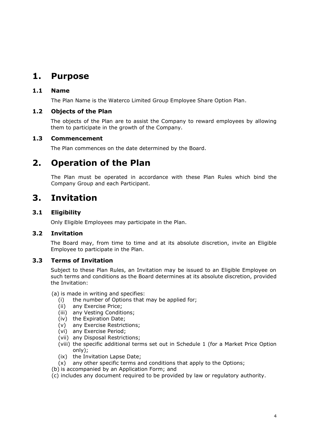# <span id="page-3-0"></span>**1. Purpose**

# <span id="page-3-1"></span>**1.1 Name**

The Plan Name is the Waterco Limited Group Employee Share Option Plan.

# <span id="page-3-2"></span>**1.2 Objects of the Plan**

The objects of the Plan are to assist the Company to reward employees by allowing them to participate in the growth of the Company.

# <span id="page-3-3"></span>**1.3 Commencement**

The Plan commences on the date determined by the Board.

# <span id="page-3-4"></span>**2. Operation of the Plan**

The Plan must be operated in accordance with these Plan Rules which bind the Company Group and each Participant.

# <span id="page-3-5"></span>**3. Invitation**

# <span id="page-3-6"></span>**3.1 Eligibility**

Only Eligible Employees may participate in the Plan.

# <span id="page-3-7"></span>**3.2 Invitation**

The Board may, from time to time and at its absolute discretion, invite an Eligible Employee to participate in the Plan.

# <span id="page-3-8"></span>**3.3 Terms of Invitation**

Subject to these Plan Rules, an Invitation may be issued to an Eligible Employee on such terms and conditions as the Board determines at its absolute discretion, provided the Invitation:

(a) is made in writing and specifies:

- (i) the number of Options that may be applied for;
- (ii) any Exercise Price;
- (iii) any Vesting Conditions;
- (iv) the Expiration Date;
- (v) any Exercise Restrictions;
- (vi) any Exercise Period;
- (vii) any Disposal Restrictions;
- (viii) the specific additional terms set out in Schedule 1 (for a Market Price Option only);
- (ix) the Invitation Lapse Date;
- (x) any other specific terms and conditions that apply to the Options;
- (b) is accompanied by an Application Form; and
- (c) includes any document required to be provided by law or regulatory authority.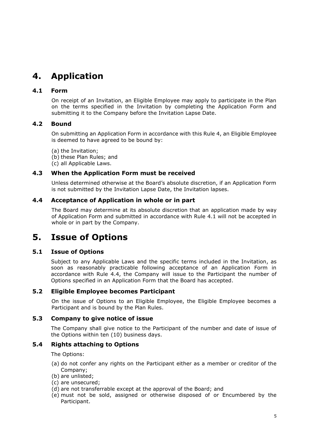# <span id="page-4-0"></span>**4. Application**

# <span id="page-4-1"></span>**4.1 Form**

On receipt of an Invitation, an Eligible Employee may apply to participate in the Plan on the terms specified in the Invitation by completing the Application Form and submitting it to the Company before the Invitation Lapse Date.

# <span id="page-4-2"></span>**4.2 Bound**

On submitting an Application Form in accordance with this Rule [4,](#page-4-0) an Eligible Employee is deemed to have agreed to be bound by:

(a) the Invitation; (b) these Plan Rules; and (c) all Applicable Laws.

# <span id="page-4-3"></span>**4.3 When the Application Form must be received**

Unless determined otherwise at the Board's absolute discretion, if an Application Form is not submitted by the Invitation Lapse Date, the Invitation lapses.

# <span id="page-4-4"></span>**4.4 Acceptance of Application in whole or in part**

The Board may determine at its absolute discretion that an application made by way of Application Form and submitted in accordance with Rule [4.1](#page-4-1) will not be accepted in whole or in part by the Company.

# <span id="page-4-5"></span>**5. Issue of Options**

# <span id="page-4-6"></span>**5.1 Issue of Options**

Subject to any Applicable Laws and the specific terms included in the Invitation, as soon as reasonably practicable following acceptance of an Application Form in accordance with Rule [4.4,](#page-4-4) the Company will issue to the Participant the number of Options specified in an Application Form that the Board has accepted.

# <span id="page-4-7"></span>**5.2 Eligible Employee becomes Participant**

On the issue of Options to an Eligible Employee, the Eligible Employee becomes a Participant and is bound by the Plan Rules.

# <span id="page-4-8"></span>**5.3 Company to give notice of issue**

The Company shall give notice to the Participant of the number and date of issue of the Options within ten (10) business days.

# <span id="page-4-9"></span>**5.4 Rights attaching to Options**

The Options:

- (a) do not confer any rights on the Participant either as a member or creditor of the Company;
- (b) are unlisted;
- (c) are unsecured;
- (d) are not transferrable except at the approval of the Board; and
- (e) must not be sold, assigned or otherwise disposed of or Encumbered by the Participant.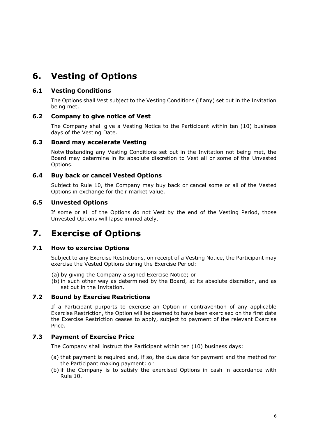# <span id="page-5-0"></span>**6. Vesting of Options**

# <span id="page-5-1"></span>**6.1 Vesting Conditions**

The Options shall Vest subject to the Vesting Conditions (if any) set out in the Invitation being met.

# <span id="page-5-2"></span>**6.2 Company to give notice of Vest**

The Company shall give a Vesting Notice to the Participant within ten (10) business days of the Vesting Date.

# <span id="page-5-3"></span>**6.3 Board may accelerate Vesting**

Notwithstanding any Vesting Conditions set out in the Invitation not being met, the Board may determine in its absolute discretion to Vest all or some of the Unvested Options.

# <span id="page-5-4"></span>**6.4 Buy back or cancel Vested Options**

Subject to Rule [10,](#page-7-1) the Company may buy back or cancel some or all of the Vested Options in exchange for their market value.

# <span id="page-5-5"></span>**6.5 Unvested Options**

If some or all of the Options do not Vest by the end of the Vesting Period, those Unvested Options will lapse immediately.

# <span id="page-5-6"></span>**7. Exercise of Options**

# <span id="page-5-7"></span>**7.1 How to exercise Options**

Subject to any Exercise Restrictions, on receipt of a Vesting Notice, the Participant may exercise the Vested Options during the Exercise Period:

- (a) by giving the Company a signed Exercise Notice; or
- (b) in such other way as determined by the Board, at its absolute discretion, and as set out in the Invitation.

# <span id="page-5-8"></span>**7.2 Bound by Exercise Restrictions**

If a Participant purports to exercise an Option in contravention of any applicable Exercise Restriction, the Option will be deemed to have been exercised on the first date the Exercise Restriction ceases to apply, subject to payment of the relevant Exercise Price.

# <span id="page-5-9"></span>**7.3 Payment of Exercise Price**

The Company shall instruct the Participant within ten (10) business days:

- (a) that payment is required and, if so, the due date for payment and the method for the Participant making payment; or
- (b) if the Company is to satisfy the exercised Options in cash in accordance with Rule 10.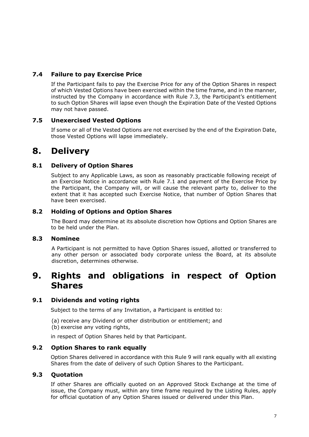# <span id="page-6-0"></span>**7.4 Failure to pay Exercise Price**

If the Participant fails to pay the Exercise Price for any of the Option Shares in respect of which Vested Options have been exercised within the time frame, and in the manner, instructed by the Company in accordance with Rule 7.3, the Participant's entitlement to such Option Shares will lapse even though the Expiration Date of the Vested Options may not have passed.

# <span id="page-6-1"></span>**7.5 Unexercised Vested Options**

If some or all of the Vested Options are not exercised by the end of the Expiration Date, those Vested Options will lapse immediately.

# <span id="page-6-2"></span>**8. Delivery**

# <span id="page-6-3"></span>**8.1 Delivery of Option Shares**

Subject to any Applicable Laws, as soon as reasonably practicable following receipt of an Exercise Notice in accordance with Rule [7.1](#page-5-7) and payment of the Exercise Price by the Participant, the Company will, or will cause the relevant party to, deliver to the extent that it has accepted such Exercise Notice, that number of Option Shares that have been exercised.

# <span id="page-6-4"></span>**8.2 Holding of Options and Option Shares**

The Board may determine at its absolute discretion how Options and Option Shares are to be held under the Plan.

# <span id="page-6-5"></span>**8.3 Nominee**

A Participant is not permitted to have Option Shares issued, allotted or transferred to any other person or associated body corporate unless the Board, at its absolute discretion, determines otherwise.

# <span id="page-6-6"></span>**9. Rights and obligations in respect of Option Shares**

# <span id="page-6-7"></span>**9.1 Dividends and voting rights**

Subject to the terms of any Invitation, a Participant is entitled to:

(a) receive any Dividend or other distribution or entitlement; and (b) exercise any voting rights,

in respect of Option Shares held by that Participant.

# <span id="page-6-8"></span>**9.2 Option Shares to rank equally**

Option Shares delivered in accordance with this Rule [9](#page-6-6) will rank equally with all existing Shares from the date of delivery of such Option Shares to the Participant.

# <span id="page-6-9"></span>**9.3 Quotation**

If other Shares are officially quoted on an Approved Stock Exchange at the time of issue, the Company must, within any time frame required by the Listing Rules, apply for official quotation of any Option Shares issued or delivered under this Plan.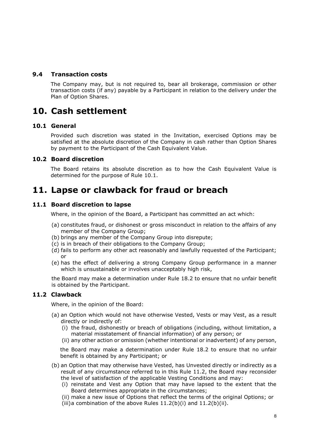# <span id="page-7-0"></span>**9.4 Transaction costs**

The Company may, but is not required to, bear all brokerage, commission or other transaction costs (if any) payable by a Participant in relation to the delivery under the Plan of Option Shares.

# <span id="page-7-1"></span>**10. Cash settlement**

#### <span id="page-7-2"></span>**10.1 General**

Provided such discretion was stated in the Invitation, exercised Options may be satisfied at the absolute discretion of the Company in cash rather than Option Shares by payment to the Participant of the Cash Equivalent Value.

#### <span id="page-7-3"></span>**10.2 Board discretion**

The Board retains its absolute discretion as to how the Cash Equivalent Value is determined for the purpose of Rule [10.1.](#page-7-2)

# <span id="page-7-4"></span>**11. Lapse or clawback for fraud or breach**

#### <span id="page-7-5"></span>**11.1 Board discretion to lapse**

Where, in the opinion of the Board, a Participant has committed an act which:

- (a) constitutes fraud, or dishonest or gross misconduct in relation to the affairs of any member of the Company Group;
- (b) brings any member of the Company Group into disrepute;
- (c) is in breach of their obligations to the Company Group;
- (d) fails to perform any other act reasonably and lawfully requested of the Participant; or
- (e) has the effect of delivering a strong Company Group performance in a manner which is unsustainable or involves unacceptably high risk,

the Board may make a determination under Rule [18.2](#page-10-6) to ensure that no unfair benefit is obtained by the Participant.

# <span id="page-7-6"></span>**11.2 Clawback**

Where, in the opinion of the Board:

- (a) an Option which would not have otherwise Vested, Vests or may Vest, as a result directly or indirectly of:
	- (i) the fraud, dishonestly or breach of obligations (including, without limitation, a material misstatement of financial information) of any person; or
	- (ii) any other action or omission (whether intentional or inadvertent) of any person,

the Board may make a determination under Rule [18.2](#page-10-6) to ensure that no unfair benefit is obtained by any Participant; or

- <span id="page-7-9"></span><span id="page-7-8"></span><span id="page-7-7"></span>(b) an Option that may otherwise have Vested, has Unvested directly or indirectly as a result of any circumstance referred to in this Rule [11.2,](#page-7-6) the Board may reconsider the level of satisfaction of the applicable Vesting Conditions and may:
	- (i) reinstate and Vest any Option that may have lapsed to the extent that the Board determines appropriate in the circumstances;
	- (ii) make a new issue of Options that reflect the terms of the original Options; or
	- (iii)a combination of the above Rules  $11.2(b)(i)$  $11.2(b)(i)$  $11.2(b)(i)$  and  $11.2(b)(ii)$ .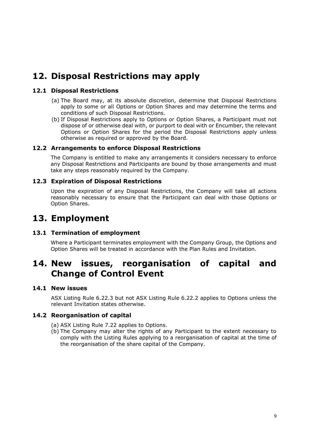# <span id="page-8-0"></span>**12. Disposal Restrictions may apply**

# <span id="page-8-1"></span>**12.1 Disposal Restrictions**

- (a) The Board may, at its absolute discretion, determine that Disposal Restrictions apply to some or all Options or Option Shares and may determine the terms and conditions of such Disposal Restrictions.
- (b) If Disposal Restrictions apply to Options or Option Shares, a Participant must not dispose of or otherwise deal with, or purport to deal with or Encumber, the relevant Options or Option Shares for the period the Disposal Restrictions apply unless otherwise as required or approved by the Board.

# <span id="page-8-2"></span>**12.2 Arrangements to enforce Disposal Restrictions**

The Company is entitled to make any arrangements it considers necessary to enforce any Disposal Restrictions and Participants are bound by those arrangements and must take any steps reasonably required by the Company.

# <span id="page-8-3"></span>**12.3 Expiration of Disposal Restrictions**

Upon the expiration of any Disposal Restrictions, the Company will take all actions reasonably necessary to ensure that the Participant can deal with those Options or Option Shares.

# <span id="page-8-4"></span>**13. Employment**

# <span id="page-8-5"></span>**13.1 Termination of employment**

Where a Participant terminates employment with the Company Group, the Options and Option Shares will be treated in accordance with the Plan Rules and Invitation.

# <span id="page-8-6"></span>**14. New issues, reorganisation of capital and Change of Control Event**

# <span id="page-8-7"></span>**14.1 New issues**

ASX Listing Rule 6.22.3 but not ASX Listing Rule 6.22.2 applies to Options unless the relevant Invitation states otherwise.

# <span id="page-8-8"></span>**14.2 Reorganisation of capital**

(a) ASX Listing Rule 7.22 applies to Options.

(b) The Company may alter the rights of any Participant to the extent necessary to comply with the Listing Rules applying to a reorganisation of capital at the time of the reorganisation of the share capital of the Company.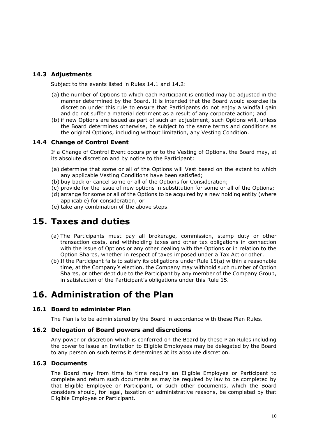# <span id="page-9-0"></span>**14.3 Adjustments**

Subject to the events listed in Rules [14.1](#page-8-7) and [14.2:](#page-8-8)

- (a) the number of Options to which each Participant is entitled may be adjusted in the manner determined by the Board. It is intended that the Board would exercise its discretion under this rule to ensure that Participants do not enjoy a windfall gain and do not suffer a material detriment as a result of any corporate action; and
- (b) if new Options are issued as part of such an adjustment, such Options will, unless the Board determines otherwise, be subject to the same terms and conditions as the original Options, including without limitation, any Vesting Condition.

# <span id="page-9-1"></span>**14.4 Change of Control Event**

If a Change of Control Event occurs prior to the Vesting of Options, the Board may, at its absolute discretion and by notice to the Participant:

- (a) determine that some or all of the Options will Vest based on the extent to which any applicable Vesting Conditions have been satisfied;
- (b) buy back or cancel some or all of the Options for Consideration;
- (c) provide for the issue of new options in substitution for some or all of the Options;
- (d) arrange for some or all of the Options to be acquired by a new holding entity (where applicable) for consideration; or
- (e) take any combination of the above steps.

# <span id="page-9-7"></span><span id="page-9-2"></span>**15. Taxes and duties**

- (a) The Participants must pay all brokerage, commission, stamp duty or other transaction costs, and withholding taxes and other tax obligations in connection with the issue of Options or any other dealing with the Options or in relation to the Option Shares, whether in respect of taxes imposed under a Tax Act or other.
- (b) If the Participant fails to satisfy its obligations under Rule [15](#page-9-2)[\(a\)](#page-9-7) within a reasonable time, at the Company's election, the Company may withhold such number of Option Shares, or other debt due to the Participant by any member of the Company Group, in satisfaction of the Participant's obligations under this Rule [15.](#page-9-2)

# <span id="page-9-3"></span>**16. Administration of the Plan**

# <span id="page-9-4"></span>**16.1 Board to administer Plan**

The Plan is to be administered by the Board in accordance with these Plan Rules.

# <span id="page-9-5"></span>**16.2 Delegation of Board powers and discretions**

Any power or discretion which is conferred on the Board by these Plan Rules including the power to issue an Invitation to Eligible Employees may be delegated by the Board to any person on such terms it determines at its absolute discretion.

# <span id="page-9-6"></span>**16.3 Documents**

The Board may from time to time require an Eligible Employee or Participant to complete and return such documents as may be required by law to be completed by that Eligible Employee or Participant, or such other documents, which the Board considers should, for legal, taxation or administrative reasons, be completed by that Eligible Employee or Participant.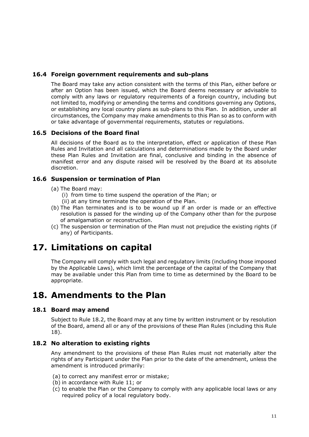# <span id="page-10-0"></span>**16.4 Foreign government requirements and sub-plans**

The Board may take any action consistent with the terms of this Plan, either before or after an Option has been issued, which the Board deems necessary or advisable to comply with any laws or regulatory requirements of a foreign country, including but not limited to, modifying or amending the terms and conditions governing any Options, or establishing any local country plans as sub-plans to this Plan. In addition, under all circumstances, the Company may make amendments to this Plan so as to conform with or take advantage of governmental requirements, statutes or regulations.

# <span id="page-10-1"></span>**16.5 Decisions of the Board final**

All decisions of the Board as to the interpretation, effect or application of these Plan Rules and Invitation and all calculations and determinations made by the Board under these Plan Rules and Invitation are final, conclusive and binding in the absence of manifest error and any dispute raised will be resolved by the Board at its absolute discretion.

# <span id="page-10-2"></span>**16.6 Suspension or termination of Plan**

- (a) The Board may:
	- (i) from time to time suspend the operation of the Plan; or
	- (ii) at any time terminate the operation of the Plan.
- (b) The Plan terminates and is to be wound up if an order is made or an effective resolution is passed for the winding up of the Company other than for the purpose of amalgamation or reconstruction.
- (c) The suspension or termination of the Plan must not prejudice the existing rights (if any) of Participants.

# <span id="page-10-3"></span>**17. Limitations on capital**

The Company will comply with such legal and regulatory limits (including those imposed by the Applicable Laws), which limit the percentage of the capital of the Company that may be available under this Plan from time to time as determined by the Board to be appropriate.

# <span id="page-10-4"></span>**18. Amendments to the Plan**

# <span id="page-10-5"></span>**18.1 Board may amend**

Subject to Rule [18.2,](#page-10-6) the Board may at any time by written instrument or by resolution of the Board, amend all or any of the provisions of these Plan Rules (including this Rule [18\)](#page-10-4).

# <span id="page-10-6"></span>**18.2 No alteration to existing rights**

Any amendment to the provisions of these Plan Rules must not materially alter the rights of any Participant under the Plan prior to the date of the amendment, unless the amendment is introduced primarily:

- (a) to correct any manifest error or mistake;
- (b) in accordance with Rule [11;](#page-7-4) or
- (c) to enable the Plan or the Company to comply with any applicable local laws or any required policy of a local regulatory body.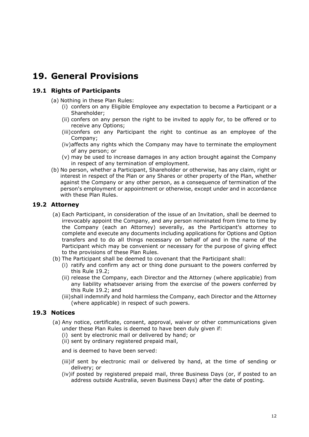# <span id="page-11-0"></span>**19. General Provisions**

# <span id="page-11-1"></span>**19.1 Rights of Participants**

- (a) Nothing in these Plan Rules:
	- (i) confers on any Eligible Employee any expectation to become a Participant or a Shareholder;
	- (ii) confers on any person the right to be invited to apply for, to be offered or to receive any Options;
	- (iii)confers on any Participant the right to continue as an employee of the Company;
	- (iv)affects any rights which the Company may have to terminate the employment of any person; or
	- (v) may be used to increase damages in any action brought against the Company in respect of any termination of employment.
- (b) No person, whether a Participant, Shareholder or otherwise, has any claim, right or interest in respect of the Plan or any Shares or other property of the Plan, whether against the Company or any other person, as a consequence of termination of the person's employment or appointment or otherwise, except under and in accordance with these Plan Rules.

# <span id="page-11-2"></span>**19.2 Attorney**

- 1 irrevocably appoint the Company, and any person nominated from time to time by (a) Each Participant, in consideration of the issue of an Invitation, shall be deemed to the Company (each an Attorney) severally, as the Participant's attorney to complete and execute any documents including applications for Options and Option transfers and to do all things necessary on behalf of and in the name of the Participant which may be convenient or necessary for the purpose of giving effect to the provisions of these Plan Rules.
- (b) The Participant shall be deemed to covenant that the Participant shall:
	- (i) ratify and confirm any act or thing done pursuant to the powers conferred by this Rule [19.2;](#page-11-2)
	- (ii) release the Company, each Director and the Attorney (where applicable) from any liability whatsoever arising from the exercise of the powers conferred by this Rule [19.2;](#page-11-2) and
	- (iii)shall indemnify and hold harmless the Company, each Director and the Attorney (where applicable) in respect of such powers.

# <span id="page-11-3"></span>**19.3 Notices**

- (a) Any notice, certificate, consent, approval, waiver or other communications given under these Plan Rules is deemed to have been duly given if:
	- (i) sent by electronic mail or delivered by hand; or
	- (ii) sent by ordinary registered prepaid mail,

and is deemed to have been served:

- (iii)if sent by electronic mail or delivered by hand, at the time of sending or delivery; or
- (iv)if posted by registered prepaid mail, three Business Days (or, if posted to an address outside Australia, seven Business Days) after the date of posting.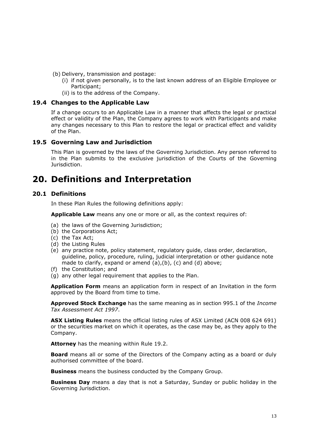- (b) Delivery, transmission and postage:
	- (i) if not given personally, is to the last known address of an Eligible Employee or Participant;
	- (ii) is to the address of the Company.

#### <span id="page-12-0"></span>**19.4 Changes to the Applicable Law**

If a change occurs to an Applicable Law in a manner that affects the legal or practical effect or validity of the Plan, the Company agrees to work with Participants and make any changes necessary to this Plan to restore the legal or practical effect and validity of the Plan.

# <span id="page-12-1"></span>**19.5 Governing Law and Jurisdiction**

This Plan is governed by the laws of the Governing Jurisdiction. Any person referred to in the Plan submits to the exclusive jurisdiction of the Courts of the Governing Jurisdiction.

# <span id="page-12-2"></span>**20. Definitions and Interpretation**

# <span id="page-12-3"></span>**20.1 Definitions**

In these Plan Rules the following definitions apply:

**Applicable Law** means any one or more or all, as the context requires of:

- <span id="page-12-4"></span>(a) the laws of the Governing Jurisdiction;
- <span id="page-12-5"></span>(b) the Corporations Act;
- <span id="page-12-6"></span>(c) the Tax Act;
- (d) the Listing Rules
- (e) any practice note, policy statement, regulatory guide, class order, declaration, guideline, policy, procedure, ruling, judicial interpretation or other guidance note made to clarify, expand or amend [\(a\),](#page-12-4)[\(b\),](#page-12-5) [\(c\)](#page-12-6) and (d) above;
- (f) the Constitution; and
- (g) any other legal requirement that applies to the Plan.

**Application Form** means an application form in respect of an Invitation in the form approved by the Board from time to time.

**Approved Stock Exchange** has the same meaning as in section 995.1 of the *Income Tax Assessment Act 1997*.

**ASX Listing Rules** means the official listing rules of ASX Limited (ACN 008 624 691) or the securities market on which it operates, as the case may be, as they apply to the Company.

**Attorney** has the meaning within Rule [19.2.](#page-11-2)

**Board** means all or some of the Directors of the Company acting as a board or duly authorised committee of the board.

**Business** means the business conducted by the Company Group.

**Business Day** means a day that is not a Saturday, Sunday or public holiday in the Governing Jurisdiction.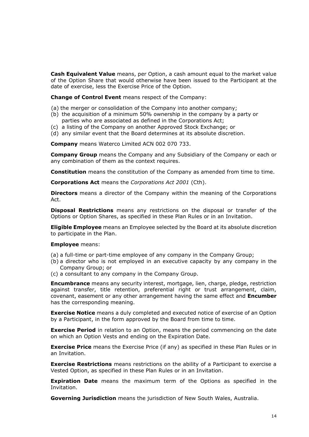**Cash Equivalent Value** means, per Option, a cash amount equal to the market value of the Option Share that would otherwise have been issued to the Participant at the date of exercise, less the Exercise Price of the Option.

**Change of Control Event** means respect of the Company:

- (a) the merger or consolidation of the Company into another company;
- (b) the acquisition of a minimum 50% ownership in the company by a party or parties who are associated as defined in the Corporations Act;
- (c) a listing of the Company on another Approved Stock Exchange; or
- (d) any similar event that the Board determines at its absolute discretion.

**Company** means Waterco Limited ACN 002 070 733.

**Company Group** means the Company and any Subsidiary of the Company or each or any combination of them as the context requires.

**Constitution** means the constitution of the Company as amended from time to time.

**Corporations Act** means the *Corporations Act 2001* (Cth).

**Directors** means a director of the Company within the meaning of the Corporations Act.

**Disposal Restrictions** means any restrictions on the disposal or transfer of the Options or Option Shares, as specified in these Plan Rules or in an Invitation.

**Eligible Employee** means an Employee selected by the Board at its absolute discretion to participate in the Plan.

#### **Employee** means:

(a) a full-time or part-time employee of any company in the Company Group;

- (b) a director who is not employed in an executive capacity by any company in the Company Group; or
- (c) a consultant to any company in the Company Group.

**Encumbrance** means any security interest, mortgage, lien, charge, pledge, restriction against transfer, title retention, preferential right or trust arrangement, claim, covenant, easement or any other arrangement having the same effect and **Encumber** has the corresponding meaning.

**Exercise Notice** means a duly completed and executed notice of exercise of an Option by a Participant, in the form approved by the Board from time to time.

**Exercise Period** in relation to an Option, means the period commencing on the date on which an Option Vests and ending on the Expiration Date.

**Exercise Price** means the Exercise Price (if any) as specified in these Plan Rules or in an Invitation.

**Exercise Restrictions** means restrictions on the ability of a Participant to exercise a Vested Option, as specified in these Plan Rules or in an Invitation.

**Expiration Date** means the maximum term of the Options as specified in the Invitation.

**Governing Jurisdiction** means the jurisdiction of New South Wales, Australia.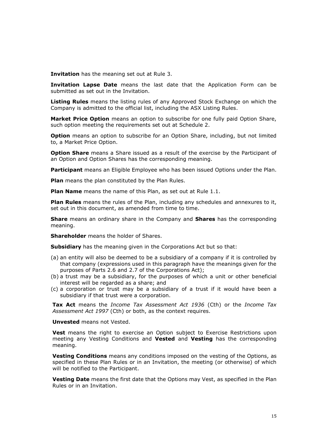**Invitation** has the meaning set out at Rule [3.](#page-3-5)

**Invitation Lapse Date** means the last date that the Application Form can be submitted as set out in the Invitation.

**Listing Rules** means the listing rules of any Approved Stock Exchange on which the Company is admitted to the official list, including the ASX Listing Rules.

**Market Price Option** means an option to subscribe for one fully paid Option Share, such option meeting the requirements set out at Schedule 2.

**Option** means an option to subscribe for an Option Share, including, but not limited to, a Market Price Option.

**Option Share** means a Share issued as a result of the exercise by the Participant of an Option and Option Shares has the corresponding meaning.

**Participant** means an Eligible Employee who has been issued Options under the Plan.

**Plan** means the plan constituted by the Plan Rules.

**Plan Name** means the name of this Plan, as set out at Rule 1.1.

**Plan Rules** means the rules of the Plan, including any schedules and annexures to it, set out in this document, as amended from time to time.

**Share** means an ordinary share in the Company and **Shares** has the corresponding meaning.

**Shareholder** means the holder of Shares.

**Subsidiary** has the meaning given in the Corporations Act but so that:

- (a) an entity will also be deemed to be a subsidiary of a company if it is controlled by that company (expressions used in this paragraph have the meanings given for the purposes of Parts 2.6 and 2.7 of the Corporations Act);
- (b) a trust may be a subsidiary, for the purposes of which a unit or other beneficial interest will be regarded as a share; and
- (c) a corporation or trust may be a subsidiary of a trust if it would have been a subsidiary if that trust were a corporation.

**Tax Act** means the *Income Tax Assessment Act 1936* (Cth) or the *Income Tax Assessment Act 1997* (Cth) or both, as the context requires.

**Unvested** means not Vested.

**Vest** means the right to exercise an Option subject to Exercise Restrictions upon meeting any Vesting Conditions and **Vested** and **Vesting** has the corresponding meaning.

**Vesting Conditions** means any conditions imposed on the vesting of the Options, as specified in these Plan Rules or in an Invitation, the meeting (or otherwise) of which will be notified to the Participant.

**Vesting Date** means the first date that the Options may Vest, as specified in the Plan Rules or in an Invitation.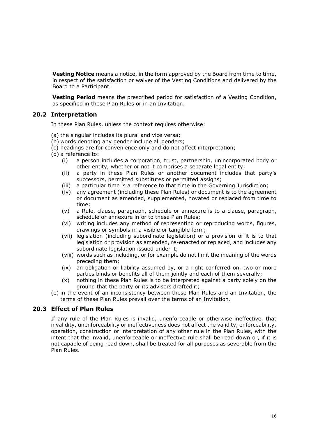**Vesting Notice** means a notice, in the form approved by the Board from time to time, in respect of the satisfaction or waiver of the Vesting Conditions and delivered by the Board to a Participant.

**Vesting Period** means the prescribed period for satisfaction of a Vesting Condition, as specified in these Plan Rules or in an Invitation.

# <span id="page-15-0"></span>**20.2 Interpretation**

In these Plan Rules, unless the context requires otherwise:

- (a) the singular includes its plural and vice versa;
- (b) words denoting any gender include all genders;
- (c) headings are for convenience only and do not affect interpretation;
- (d) a reference to:
	- (i) a person includes a corporation, trust, partnership, unincorporated body or other entity, whether or not it comprises a separate legal entity;
	- (ii) a party in these Plan Rules or another document includes that party's successors, permitted substitutes or permitted assigns;
	- (iii) a particular time is a reference to that time in the Governing Jurisdiction;
	- (iv) any agreement (including these Plan Rules) or document is to the agreement or document as amended, supplemented, novated or replaced from time to time;
	- (v) a Rule, clause, paragraph, schedule or annexure is to a clause, paragraph, schedule or annexure in or to these Plan Rules;
	- (vi) writing includes any method of representing or reproducing words, figures, drawings or symbols in a visible or tangible form;
	- (vii) legislation (including subordinate legislation) or a provision of it is to that legislation or provision as amended, re-enacted or replaced, and includes any subordinate legislation issued under it;
	- (viii) words such as including, or for example do not limit the meaning of the words preceding them;
	- (ix) an obligation or liability assumed by, or a right conferred on, two or more parties binds or benefits all of them jointly and each of them severally;
	- (x) nothing in these Plan Rules is to be interpreted against a party solely on the ground that the party or its advisers drafted it;
- (e) in the event of an inconsistency between these Plan Rules and an Invitation, the terms of these Plan Rules prevail over the terms of an Invitation.

#### <span id="page-15-1"></span>**20.3 Effect of Plan Rules**

If any rule of the Plan Rules is invalid, unenforceable or otherwise ineffective, that invalidity, unenforceability or ineffectiveness does not affect the validity, enforceability, operation, construction or interpretation of any other rule in the Plan Rules, with the intent that the invalid, unenforceable or ineffective rule shall be read down or, if it is not capable of being read down, shall be treated for all purposes as severable from the Plan Rules.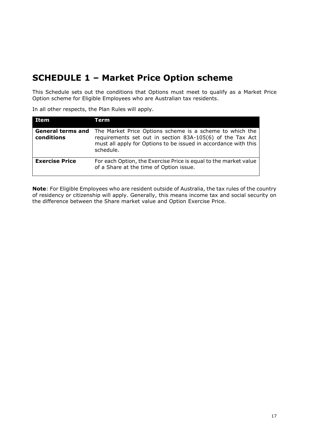# <span id="page-16-0"></span>**SCHEDULE 1 – Market Price Option scheme**

This Schedule sets out the conditions that Options must meet to qualify as a Market Price Option scheme for Eligible Employees who are Australian tax residents.

In all other respects, the Plan Rules will apply.

| <b>Item</b>                            | Term                                                                                                                                                                                                  |
|----------------------------------------|-------------------------------------------------------------------------------------------------------------------------------------------------------------------------------------------------------|
| <b>General terms and</b><br>conditions | The Market Price Options scheme is a scheme to which the<br>requirements set out in section 83A-105(6) of the Tax Act<br>must all apply for Options to be issued in accordance with this<br>schedule. |
| <b>Exercise Price</b>                  | For each Option, the Exercise Price is equal to the market value<br>of a Share at the time of Option issue.                                                                                           |

**Note**: For Eligible Employees who are resident outside of Australia, the tax rules of the country of residency or citizenship will apply. Generally, this means income tax and social security on the difference between the Share market value and Option Exercise Price.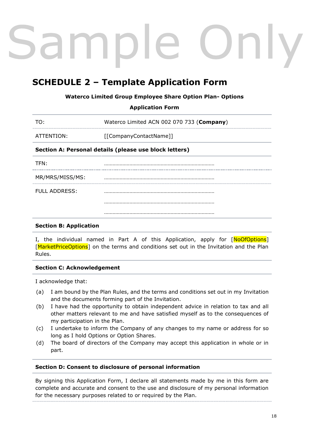# mpl

# <span id="page-17-0"></span>**SCHEDULE 2 – Template Application Form**

# **Waterco Limited Group Employee Share Option Plan- Options**

**Application Form**

| TO:                                                    | Waterco Limited ACN 002 070 733 (Company) |  |
|--------------------------------------------------------|-------------------------------------------|--|
| ATTENTION:                                             | [[CompanyContactName]]                    |  |
| Section A: Personal details (please use block letters) |                                           |  |
| TFN:                                                   |                                           |  |
| MR/MRS/MISS/MS:                                        |                                           |  |
| FULL ADDRESS:                                          |                                           |  |
|                                                        |                                           |  |
|                                                        |                                           |  |

# **Section B: Application**

I, the individual named in Part A of this Application, apply for [NoOfOptions] [MarketPriceOptions] on the terms and conditions set out in the Invitation and the Plan Rules.

# **Section C: Acknowledgement**

I acknowledge that:

- (a) I am bound by the Plan Rules, and the terms and conditions set out in my Invitation and the documents forming part of the Invitation.
- (b) I have had the opportunity to obtain independent advice in relation to tax and all other matters relevant to me and have satisfied myself as to the consequences of my participation in the Plan.
- (c) I undertake to inform the Company of any changes to my name or address for so long as I hold Options or Option Shares.
- (d) The board of directors of the Company may accept this application in whole or in part.

#### **Section D: Consent to disclosure of personal information**

By signing this Application Form, I declare all statements made by me in this form are complete and accurate and consent to the use and disclosure of my personal information for the necessary purposes related to or required by the Plan.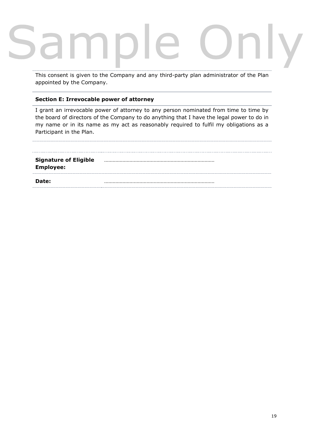This consent is given to the Company and any third-party plan administrator of the Plan appointed by the Company.

# **Section E: Irrevocable power of attorney**

I grant an irrevocable power of attorney to any person nominated from time to time by the board of directors of the Company to do anything that I have the legal power to do in my name or in its name as my act as reasonably required to fulfil my obligations as a Participant in the Plan.

| Date:                                            |  |
|--------------------------------------------------|--|
| <b>Signature of Eligible</b><br><b>Employee:</b> |  |
|                                                  |  |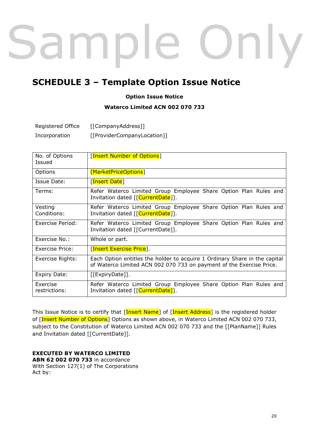# ample nly

# <span id="page-19-0"></span>**SCHEDULE 3 – Template Option Issue Notice**

# **Option Issue Notice**

# **Waterco Limited ACN 002 070 733**

| Registered Office | [[CompanyAddress]]          |
|-------------------|-----------------------------|
| Incorporation     | [[ProviderCompanyLocation]] |

| No. of Options<br>Issued  | <b>[Insert Number of Options]</b>                                                                                                                  |
|---------------------------|----------------------------------------------------------------------------------------------------------------------------------------------------|
| Options                   | [MarketPriceOptions]                                                                                                                               |
| Issue Date:               | [Insert Date]                                                                                                                                      |
| Terms:                    | Refer Waterco Limited Group Employee Share Option Plan Rules and<br>Invitation dated [[CurrentDate]].                                              |
| Vesting<br>Conditions:    | Refer Waterco Limited Group Employee Share Option Plan Rules and<br>Invitation dated [[CurrentDate]].                                              |
| Exercise Period:          | Refer Waterco Limited Group Employee Share Option Plan Rules and<br>Invitation dated [[CurrentDate]].                                              |
| Exercise No.:             | Whole or part.                                                                                                                                     |
| <b>Exercise Price:</b>    | [Insert Exercise Price].                                                                                                                           |
| Exercise Rights:          | Each Option entitles the holder to acquire 1 Ordinary Share in the capital<br>of Waterco Limited ACN 002 070 733 on payment of the Exercise Price. |
| Expiry Date:              | [[ExpiryDate]].                                                                                                                                    |
| Exercise<br>restrictions: | Refer Waterco Limited Group Employee Share Option Plan Rules and<br>Invitation dated [[CurrentDate]].                                              |

This Issue Notice is to certify that [Insert Name] of [Insert Address] is the registered holder of [Insert Number of Options] Options as shown above, in Waterco Limited ACN 002 070 733, subject to the Constitution of Waterco Limited ACN 002 070 733 and the [[PlanName]] Rules and Invitation dated [[CurrentDate]].

# **EXECUTED BY WATERCO LIMITED**

**ABN 62 002 070 733** in accordance With Section 127(1) of The Corporations Act by: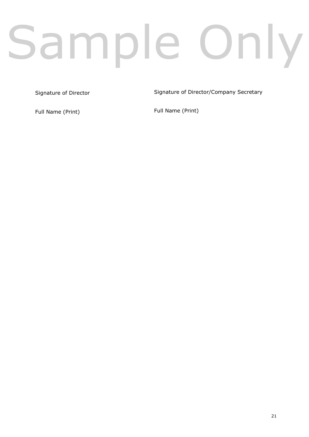# Sample Only

Signature of Director

Signature of Director/Company Secretary

Full Name (Print)

Full Name (Print)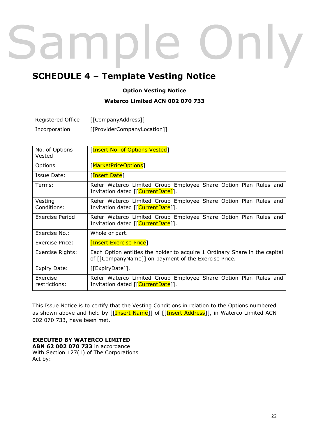# ampl nly  $\overline{\phantom{a}}$

# <span id="page-21-0"></span>**SCHEDULE 4 – Template Vesting Notice**

# **Option Vesting Notice**

# **Waterco Limited ACN 002 070 733**

| Registered Office | [[CompanyAddress]]          |
|-------------------|-----------------------------|
| Incorporation     | [[ProviderCompanyLocation]] |

| No. of Options<br>Vested  | [Insert No. of Options Vested]                                                                                                     |
|---------------------------|------------------------------------------------------------------------------------------------------------------------------------|
| Options                   | [MarketPriceOptions]                                                                                                               |
| Issue Date:               | [Insert Date]                                                                                                                      |
| Terms:                    | Refer Waterco Limited Group Employee Share Option Plan Rules and<br>Invitation dated [[CurrentDate]].                              |
| Vesting<br>Conditions:    | Refer Waterco Limited Group Employee Share Option Plan Rules and<br>Invitation dated [[CurrentDate]].                              |
| Exercise Period:          | Refer Waterco Limited Group Employee Share Option Plan Rules and<br>Invitation dated [[CurrentDate]].                              |
| Exercise No.:             | Whole or part.                                                                                                                     |
| Exercise Price:           | <b>[Insert Exercise Price]</b>                                                                                                     |
| Exercise Rights:          | Each Option entitles the holder to acquire 1 Ordinary Share in the capital<br>of [[CompanyName]] on payment of the Exercise Price. |
| Expiry Date:              | [[ExpiryDate]].                                                                                                                    |
| Exercise<br>restrictions: | Refer Waterco Limited Group Employee Share Option Plan Rules and<br>Invitation dated [[CurrentDate]].                              |

This Issue Notice is to certify that the Vesting Conditions in relation to the Options numbered as shown above and held by [[Insert Name]] of [[Insert Address]], in Waterco Limited ACN 002 070 733, have been met.

# **EXECUTED BY WATERCO LIMITED**

**ABN 62 002 070 733** in accordance With Section 127(1) of The Corporations Act by: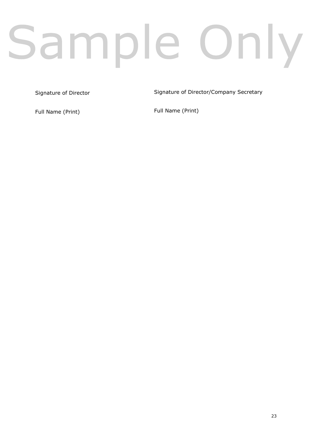# Sample Only

Signature of Director

Signature of Director/Company Secretary

Full Name (Print)

Full Name (Print)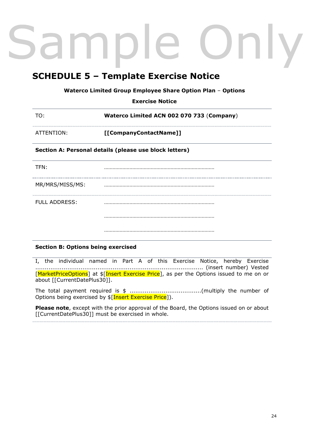# <span id="page-23-0"></span>**SCHEDULE 5 – Template Exercise Notice**

**Waterco Limited Group Employee Share Option Plan** – **Options**

**Exercise Notice**

| TO:        | Waterco Limited ACN 002 070 733 (Company) |
|------------|-------------------------------------------|
| ATTENTION: | [[CompanyContactName]]                    |

# **Section A: Personal details (please use block letters)**

TFN: …………………………………………………………………… MR/MRS/MISS/MS: …………………………………………………………………… FULL ADDRESS: …………………………………………………………………… …………………………………………………………………… ……………………………………………………………………

# **Section B: Options being exercised**

I, the individual named in Part A of this Exercise Notice, hereby Exercise ......................................................................................... (insert number) Vested [MarketPriceOptions] at \$[Insert Exercise Price], as per the Options issued to me on or about [[CurrentDatePlus30]].

The total payment required is \$ ......................................(multiply the number of Options being exercised by  $\frac{1}{2}$ [Insert Exercise Price]).

**Please note**, except with the prior approval of the Board, the Options issued on or about [[CurrentDatePlus30]] must be exercised in whole.